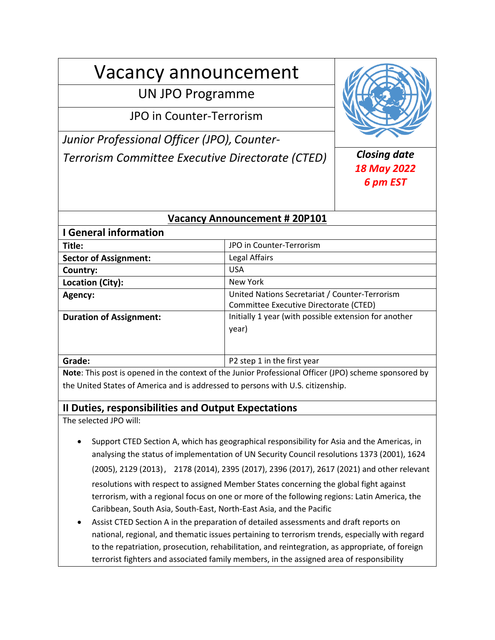# Vacancy announcement

## UN JPO Programme

JPO in Counter-Terrorism

*Junior Professional Officer (JPO), Counter-Terrorism Committee Executive Directorate (CTED) Closing date*



## *18 May 2022 6 pm EST*

## **Vacancy Announcement # 20P101**

| <b>I</b> General information   |                                                                                          |
|--------------------------------|------------------------------------------------------------------------------------------|
| Title:                         | JPO in Counter-Terrorism                                                                 |
| <b>Sector of Assignment:</b>   | Legal Affairs                                                                            |
| Country:                       | <b>USA</b>                                                                               |
| Location (City):               | New York                                                                                 |
| Agency:                        | United Nations Secretariat / Counter-Terrorism<br>Committee Executive Directorate (CTED) |
| <b>Duration of Assignment:</b> | Initially 1 year (with possible extension for another<br>year)                           |
| Grade:                         | P2 step 1 in the first year                                                              |

**Note**: This post is opened in the context of the Junior Professional Officer (JPO) scheme sponsored by the United States of America and is addressed to persons with U.S. citizenship.

## **II Duties, responsibilities and Output Expectations**

The selected JPO will:

- Support CTED Section A, which has geographical responsibility for Asia and the Americas, in analysing the status of implementation of UN Security Council resolutions 1373 (2001), 1624 (2005), 2129 (2013), 2178 (2014), 2395 (2017), 2396 (2017), 2617 (2021) and other relevant resolutions with respect to assigned Member States concerning the global fight against terrorism, with a regional focus on one or more of the following regions: Latin America, the Caribbean, South Asia, South-East, North-East Asia, and the Pacific
- Assist CTED Section A in the preparation of detailed assessments and draft reports on national, regional, and thematic issues pertaining to terrorism trends, especially with regard to the repatriation, prosecution, rehabilitation, and reintegration, as appropriate, of foreign terrorist fighters and associated family members, in the assigned area of responsibility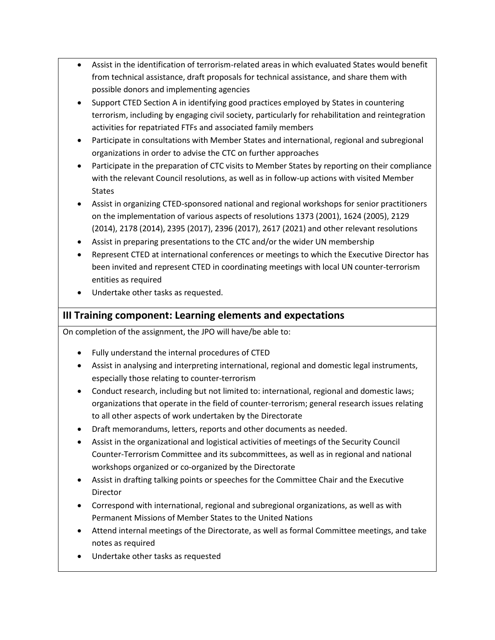- Assist in the identification of terrorism-related areas in which evaluated States would benefit from technical assistance, draft proposals for technical assistance, and share them with possible donors and implementing agencies
- Support CTED Section A in identifying good practices employed by States in countering terrorism, including by engaging civil society, particularly for rehabilitation and reintegration activities for repatriated FTFs and associated family members
- Participate in consultations with Member States and international, regional and subregional organizations in order to advise the CTC on further approaches
- Participate in the preparation of CTC visits to Member States by reporting on their compliance with the relevant Council resolutions, as well as in follow-up actions with visited Member States
- Assist in organizing CTED-sponsored national and regional workshops for senior practitioners on the implementation of various aspects of resolutions 1373 (2001), 1624 (2005), 2129 (2014), 2178 (2014), 2395 (2017), 2396 (2017), 2617 (2021) and other relevant resolutions
- Assist in preparing presentations to the CTC and/or the wider UN membership
- Represent CTED at international conferences or meetings to which the Executive Director has been invited and represent CTED in coordinating meetings with local UN counter-terrorism entities as required
- Undertake other tasks as requested.

## **III Training component: Learning elements and expectations**

On completion of the assignment, the JPO will have/be able to:

- Fully understand the internal procedures of CTED
- Assist in analysing and interpreting international, regional and domestic legal instruments, especially those relating to counter-terrorism
- Conduct research, including but not limited to: international, regional and domestic laws; organizations that operate in the field of counter-terrorism; general research issues relating to all other aspects of work undertaken by the Directorate
- Draft memorandums, letters, reports and other documents as needed.
- Assist in the organizational and logistical activities of meetings of the Security Council Counter-Terrorism Committee and its subcommittees, as well as in regional and national workshops organized or co-organized by the Directorate
- Assist in drafting talking points or speeches for the Committee Chair and the Executive Director
- Correspond with international, regional and subregional organizations, as well as with Permanent Missions of Member States to the United Nations
- Attend internal meetings of the Directorate, as well as formal Committee meetings, and take notes as required
- Undertake other tasks as requested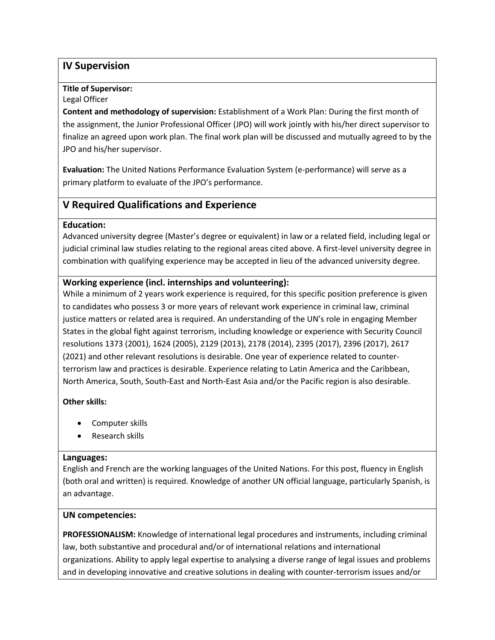## **IV Supervision**

#### **Title of Supervisor:**

#### Legal Officer

**Content and methodology of supervision:** Establishment of a Work Plan: During the first month of the assignment, the Junior Professional Officer (JPO) will work jointly with his/her direct supervisor to finalize an agreed upon work plan. The final work plan will be discussed and mutually agreed to by the JPO and his/her supervisor.

**Evaluation:** The United Nations Performance Evaluation System (e-performance) will serve as a primary platform to evaluate of the JPO's performance.

## **V Required Qualifications and Experience**

#### **Education:**

Advanced university degree (Master's degree or equivalent) in law or a related field, including legal or judicial criminal law studies relating to the regional areas cited above. A first-level university degree in combination with qualifying experience may be accepted in lieu of the advanced university degree.

### **Working experience (incl. internships and volunteering):**

While a minimum of 2 years work experience is required, for this specific position preference is given to candidates who possess 3 or more years of relevant work experience in criminal law, criminal justice matters or related area is required. An understanding of the UN's role in engaging Member States in the global fight against terrorism, including knowledge or experience with Security Council resolutions 1373 (2001), 1624 (2005), 2129 (2013), 2178 (2014), 2395 (2017), 2396 (2017), 2617 (2021) and other relevant resolutions is desirable. One year of experience related to counterterrorism law and practices is desirable. Experience relating to Latin America and the Caribbean, North America, South, South-East and North-East Asia and/or the Pacific region is also desirable.

#### **Other skills:**

- Computer skills
- Research skills

#### **Languages:**

English and French are the working languages of the United Nations. For this post, fluency in English (both oral and written) is required. Knowledge of another UN official language, particularly Spanish, is an advantage.

#### **UN competencies:**

**PROFESSIONALISM:** Knowledge of international legal procedures and instruments, including criminal law, both substantive and procedural and/or of international relations and international organizations. Ability to apply legal expertise to analysing a diverse range of legal issues and problems and in developing innovative and creative solutions in dealing with counter-terrorism issues and/or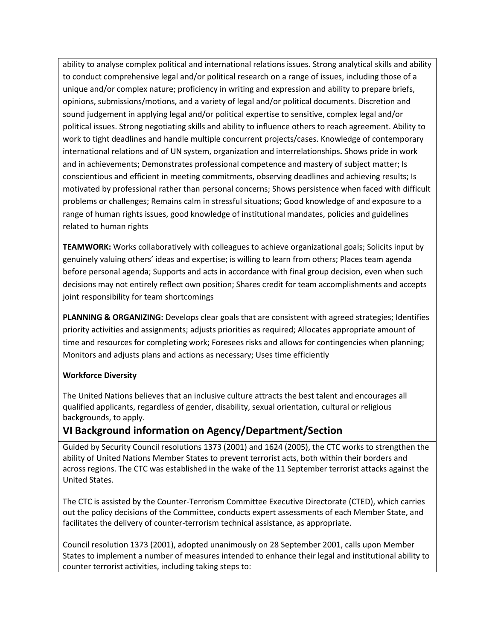ability to analyse complex political and international relations issues. Strong analytical skills and ability to conduct comprehensive legal and/or political research on a range of issues, including those of a unique and/or complex nature; proficiency in writing and expression and ability to prepare briefs, opinions, submissions/motions, and a variety of legal and/or political documents. Discretion and sound judgement in applying legal and/or political expertise to sensitive, complex legal and/or political issues. Strong negotiating skills and ability to influence others to reach agreement. Ability to work to tight deadlines and handle multiple concurrent projects/cases. Knowledge of contemporary international relations and of UN system, organization and interrelationships**.** Shows pride in work and in achievements; Demonstrates professional competence and mastery of subject matter; Is conscientious and efficient in meeting commitments, observing deadlines and achieving results; Is motivated by professional rather than personal concerns; Shows persistence when faced with difficult problems or challenges; Remains calm in stressful situations; Good knowledge of and exposure to a range of human rights issues, good knowledge of institutional mandates, policies and guidelines related to human rights

**TEAMWORK:** Works collaboratively with colleagues to achieve organizational goals; Solicits input by genuinely valuing others' ideas and expertise; is willing to learn from others; Places team agenda before personal agenda; Supports and acts in accordance with final group decision, even when such decisions may not entirely reflect own position; Shares credit for team accomplishments and accepts joint responsibility for team shortcomings

**PLANNING & ORGANIZING:** Develops clear goals that are consistent with agreed strategies; Identifies priority activities and assignments; adjusts priorities as required; Allocates appropriate amount of time and resources for completing work; Foresees risks and allows for contingencies when planning; Monitors and adjusts plans and actions as necessary; Uses time efficiently

#### **Workforce Diversity**

The United Nations believes that an inclusive culture attracts the best talent and encourages all qualified applicants, regardless of gender, disability, sexual orientation, cultural or religious backgrounds, to apply.

## **VI Background information on Agency/Department/Section**

Guided by Security Council resolutions 1373 (2001) and 1624 (2005), the CTC works to strengthen the ability of United Nations Member States to prevent terrorist acts, both within their borders and across regions. The CTC was established in the wake of the 11 September terrorist attacks against the United States.

The CTC is assisted by the Counter-Terrorism Committee Executive Directorate (CTED), which carries out the policy decisions of the Committee, conducts expert assessments of each Member State, and facilitates the delivery of counter-terrorism technical assistance, as appropriate.

Council resolution 1373 (2001), adopted unanimously on 28 September 2001, calls upon Member States to implement a number of measures intended to enhance their legal and institutional ability to counter terrorist activities, including taking steps to: